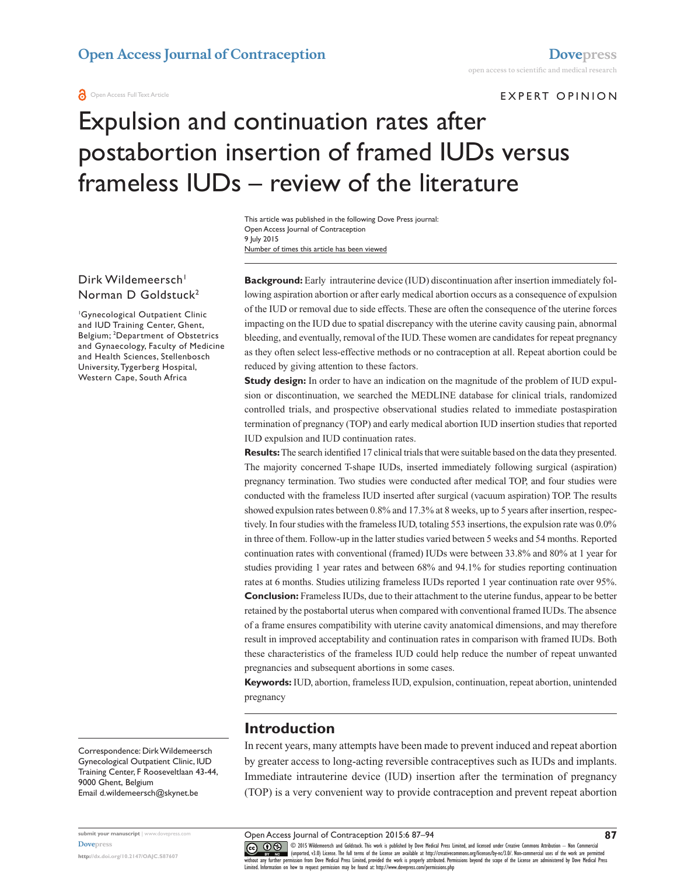#### EXPERT OPINION

# Expulsion and continuation rates after postabortion insertion of framed IUDs versus frameless IUDs – review of the literature

Number of times this article has been viewed This article was published in the following Dove Press journal: Open Access Journal of Contraception 9 July 2015

## Dirk Wildemeersch<sup>1</sup> Norman D Goldstuck2

1 Gynecological Outpatient Clinic and IUD Training Center, Ghent, Belgium; 2 Department of Obstetrics and Gynaecology, Faculty of Medicine and Health Sciences, Stellenbosch University, Tygerberg Hospital, Western Cape, South Africa

**Background:** Early intrauterine device (IUD) discontinuation after insertion immediately following aspiration abortion or after early medical abortion occurs as a consequence of expulsion of the IUD or removal due to side effects. These are often the consequence of the uterine forces impacting on the IUD due to spatial discrepancy with the uterine cavity causing pain, abnormal bleeding, and eventually, removal of the IUD. These women are candidates for repeat pregnancy as they often select less-effective methods or no contraception at all. Repeat abortion could be reduced by giving attention to these factors.

**Study design:** In order to have an indication on the magnitude of the problem of IUD expulsion or discontinuation, we searched the MEDLINE database for clinical trials, randomized controlled trials, and prospective observational studies related to immediate postaspiration termination of pregnancy (TOP) and early medical abortion IUD insertion studies that reported IUD expulsion and IUD continuation rates.

**Results:** The search identified 17 clinical trials that were suitable based on the data they presented. The majority concerned T-shape IUDs, inserted immediately following surgical (aspiration) pregnancy termination. Two studies were conducted after medical TOP, and four studies were conducted with the frameless IUD inserted after surgical (vacuum aspiration) TOP. The results showed expulsion rates between 0.8% and 17.3% at 8 weeks, up to 5 years after insertion, respectively. In four studies with the frameless IUD, totaling 553 insertions, the expulsion rate was 0.0% in three of them. Follow-up in the latter studies varied between 5 weeks and 54 months. Reported continuation rates with conventional (framed) IUDs were between 33.8% and 80% at 1 year for studies providing 1 year rates and between 68% and 94.1% for studies reporting continuation rates at 6 months. Studies utilizing frameless IUDs reported 1 year continuation rate over 95%. **Conclusion:** Frameless IUDs, due to their attachment to the uterine fundus, appear to be better retained by the postabortal uterus when compared with conventional framed IUDs. The absence of a frame ensures compatibility with uterine cavity anatomical dimensions, and may therefore result in improved acceptability and continuation rates in comparison with framed IUDs. Both these characteristics of the frameless IUD could help reduce the number of repeat unwanted pregnancies and subsequent abortions in some cases.

**Keywords:** IUD, abortion, frameless IUD, expulsion, continuation, repeat abortion, unintended pregnancy

## **Introduction**

In recent years, many attempts have been made to prevent induced and repeat abortion by greater access to long-acting reversible contraceptives such as IUDs and implants. Immediate intrauterine device (IUD) insertion after the termination of pregnancy (TOP) is a very convenient way to provide contraception and prevent repeat abortion

Correspondence: Dirk Wildemeersch Gynecological Outpatient Clinic, IUD Training Center, F Rooseveltlaan 43-44, 9000 Ghent, Belgium Email [d.wildemeersch@skynet.be](mailto:d.wildemeersch@skynet.be)

**submit your manuscript** | <www.dovepress.com> **[Dovepress](www.dovepress.com)**

**<http://dx.doi.org/10.2147/OAJC.S87607>**

Open Access Journal of Contraception 2015:6 87–94

**CO O** S © 2015 Wildemeersch and Goldstuck. This work is published by Dove Medical Press Limited, and licensed under Creative Commons Attribution - Non Commercial<br>Without any further permission from Dove Medical Press Li Limited. Information on how to request permission may be found at:<http://www.dovepress.com/permissions.php>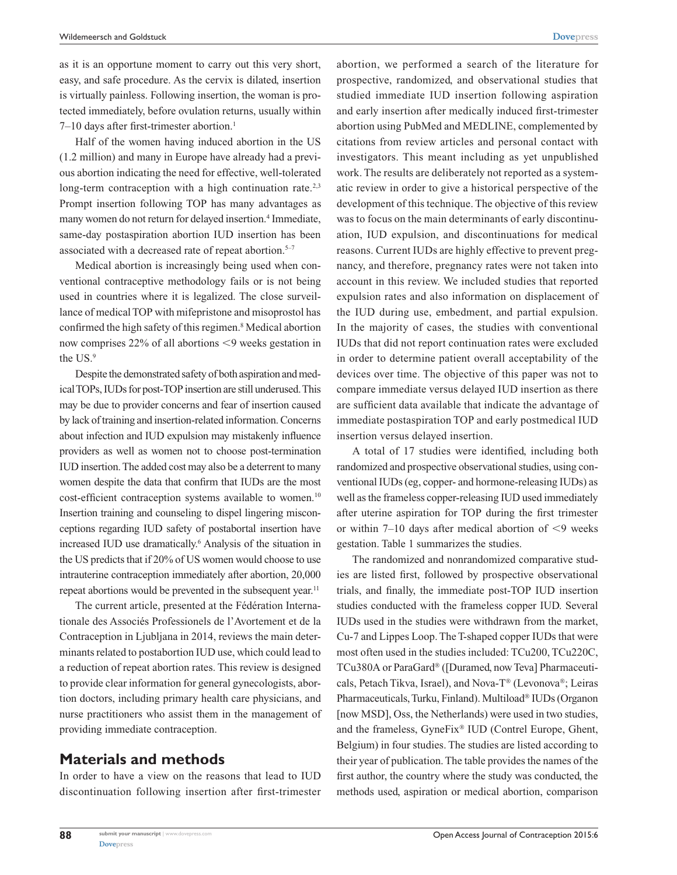as it is an opportune moment to carry out this very short, easy, and safe procedure. As the cervix is dilated, insertion is virtually painless. Following insertion, the woman is protected immediately, before ovulation returns, usually within 7-10 days after first-trimester abortion.<sup>1</sup>

Half of the women having induced abortion in the US (1.2 million) and many in Europe have already had a previous abortion indicating the need for effective, well-tolerated long-term contraception with a high continuation rate.<sup>2,3</sup> Prompt insertion following TOP has many advantages as many women do not return for delayed insertion.<sup>4</sup> Immediate, same-day postaspiration abortion IUD insertion has been associated with a decreased rate of repeat abortion.<sup>5-7</sup>

Medical abortion is increasingly being used when conventional contraceptive methodology fails or is not being used in countries where it is legalized. The close surveillance of medical TOP with mifepristone and misoprostol has confirmed the high safety of this regimen.<sup>8</sup> Medical abortion now comprises  $22\%$  of all abortions  $\leq$ 9 weeks gestation in the US.9

Despite the demonstrated safety of both aspiration and medical TOPs, IUDs for post-TOP insertion are still underused. This may be due to provider concerns and fear of insertion caused by lack of training and insertion-related information. Concerns about infection and IUD expulsion may mistakenly influence providers as well as women not to choose post-termination IUD insertion. The added cost may also be a deterrent to many women despite the data that confirm that IUDs are the most cost-efficient contraception systems available to women.<sup>10</sup> Insertion training and counseling to dispel lingering misconceptions regarding IUD safety of postabortal insertion have increased IUD use dramatically.6 Analysis of the situation in the US predicts that if 20% of US women would choose to use intrauterine contraception immediately after abortion, 20,000 repeat abortions would be prevented in the subsequent year.<sup>11</sup>

The current article, presented at the Fédération Internationale des Associés Professionels de l'Avortement et de la Contraception in Ljubljana in 2014, reviews the main determinants related to postabortion IUD use, which could lead to a reduction of repeat abortion rates. This review is designed to provide clear information for general gynecologists, abortion doctors, including primary health care physicians, and nurse practitioners who assist them in the management of providing immediate contraception.

## **Materials and methods**

In order to have a view on the reasons that lead to IUD discontinuation following insertion after first-trimester

abortion, we performed a search of the literature for prospective, randomized, and observational studies that studied immediate IUD insertion following aspiration and early insertion after medically induced first-trimester abortion using PubMed and MEDLINE, complemented by citations from review articles and personal contact with investigators. This meant including as yet unpublished work. The results are deliberately not reported as a systematic review in order to give a historical perspective of the development of this technique. The objective of this review was to focus on the main determinants of early discontinuation, IUD expulsion, and discontinuations for medical reasons. Current IUDs are highly effective to prevent pregnancy, and therefore, pregnancy rates were not taken into account in this review. We included studies that reported expulsion rates and also information on displacement of the IUD during use, embedment, and partial expulsion. In the majority of cases, the studies with conventional IUDs that did not report continuation rates were excluded in order to determine patient overall acceptability of the devices over time. The objective of this paper was not to compare immediate versus delayed IUD insertion as there are sufficient data available that indicate the advantage of immediate postaspiration TOP and early postmedical IUD insertion versus delayed insertion.

A total of 17 studies were identified, including both randomized and prospective observational studies, using conventional IUDs (eg, copper- and hormone-releasing IUDs) as well as the frameless copper-releasing IUD used immediately after uterine aspiration for TOP during the first trimester or within  $7-10$  days after medical abortion of  $\leq 9$  weeks gestation. Table 1 summarizes the studies.

The randomized and nonrandomized comparative studies are listed first, followed by prospective observational trials, and finally, the immediate post-TOP IUD insertion studies conducted with the frameless copper IUD. Several IUDs used in the studies were withdrawn from the market, Cu-7 and Lippes Loop. The T-shaped copper IUDs that were most often used in the studies included: TCu200, TCu220C, TCu380A or ParaGard® ([Duramed, now Teva] Pharmaceuticals, Petach Tikva, Israel), and Nova-T® (Levonova®; Leiras Pharmaceuticals, Turku, Finland). Multiload® IUDs (Organon [now MSD], Oss, the Netherlands) were used in two studies, and the frameless, GyneFix® IUD (Contrel Europe, Ghent, Belgium) in four studies. The studies are listed according to their year of publication. The table provides the names of the first author, the country where the study was conducted, the methods used, aspiration or medical abortion, comparison

**88**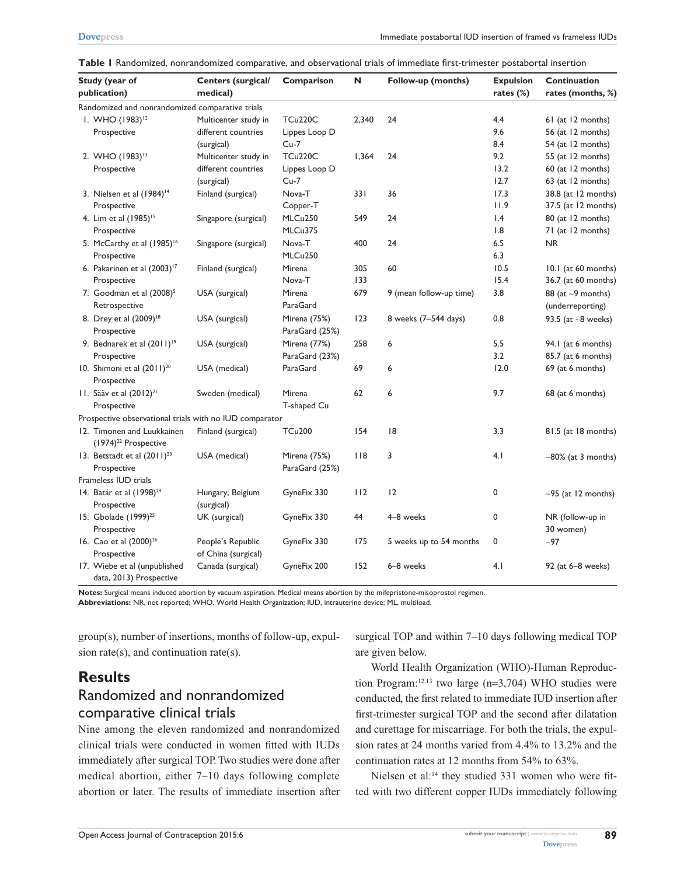| Study (year of |                                                         | <b>Centers (surgical/</b> | Comparison     | N     | Follow-up (months)      | <b>Expulsion</b> | Continuation              |
|----------------|---------------------------------------------------------|---------------------------|----------------|-------|-------------------------|------------------|---------------------------|
|                | publication)                                            | medical)                  |                |       |                         | rates $(\%)$     | rates (months, %)         |
|                | Randomized and nonrandomized comparative trials         |                           |                |       |                         |                  |                           |
|                | I. WHO (1983) <sup>12</sup>                             | Multicenter study in      | <b>TCu220C</b> | 2,340 | 24                      | 4.4              | 61 (at 12 months)         |
|                | Prospective                                             | different countries       | Lippes Loop D  |       |                         | 9.6              | 56 (at 12 months)         |
|                |                                                         | (surgical)                | $Cu-7$         |       |                         | 8.4              | 54 (at 12 months)         |
|                | 2. WHO (1983) <sup>13</sup>                             | Multicenter study in      | <b>TCu220C</b> | 1,364 | 24                      | 9.2              | 55 (at 12 months)         |
|                | Prospective                                             | different countries       | Lippes Loop D  |       |                         | 13.2             | 60 (at 12 months)         |
|                |                                                         | (surgical)                | $Cu-7$         |       |                         | 12.7             | 63 (at 12 months)         |
|                | 3. Nielsen et al $(1984)^{14}$                          | Finland (surgical)        | Nova-T         | 331   | 36                      | 17.3             | 38.8 (at 12 months)       |
|                | Prospective                                             |                           | Copper-T       |       |                         | 11.9             | 37.5 (at 12 months)       |
|                | 4. Lim et al (1985) <sup>15</sup>                       | Singapore (surgical)      | MLCu250        | 549   | 24                      | $\mathsf{I}$ .4  | 80 (at 12 months)         |
|                | Prospective                                             |                           | MLCu375        |       |                         | 1.8              | 71 (at 12 months)         |
|                | 5. McCarthy et al (1985) <sup>16</sup>                  | Singapore (surgical)      | Nova-T         | 400   | 24                      | 6.5              | <b>NR</b>                 |
|                | Prospective                                             |                           | MLCu250        |       |                         | 6.3              |                           |
|                | 6. Pakarinen et al $(2003)^{17}$                        | Finland (surgical)        | Mirena         | 305   | 60                      | 10.5             | 10.1 (at 60 months)       |
|                | Prospective                                             |                           | Nova-T         | 133   |                         | 15.4             | 36.7 (at 60 months)       |
|                | 7. Goodman et al (2008) <sup>5</sup>                    | USA (surgical)            | Mirena         | 679   | 9 (mean follow-up time) | 3.8              | 88 (at $\sim$ 9 months)   |
|                | Retrospective                                           |                           | ParaGard       |       |                         |                  | (underreporting)          |
|                | 8. Drey et al (2009) <sup>18</sup>                      | USA (surgical)            | Mirena (75%)   | 123   | 8 weeks (7-544 days)    | 0.8              | 93.5 (at $-8$ weeks)      |
|                | Prospective                                             |                           | ParaGard (25%) |       |                         |                  |                           |
|                | 9. Bednarek et al (2011) <sup>19</sup>                  | USA (surgical)            | Mirena (77%)   | 258   | 6                       | 5.5              | 94.1 (at 6 months)        |
|                | Prospective                                             |                           | ParaGard (23%) |       |                         | 3.2              | 85.7 (at 6 months)        |
|                | 10. Shimoni et al (2011) <sup>20</sup>                  | USA (medical)             | ParaGard       | 69    | 6                       | 12.0             | 69 (at 6 months)          |
|                | Prospective                                             |                           |                |       |                         |                  |                           |
|                | 11. Sääv et al (2012) <sup>21</sup>                     | Sweden (medical)          | Mirena         | 62    | 6                       | 9.7              | 68 (at 6 months)          |
|                | Prospective                                             |                           | T-shaped Cu    |       |                         |                  |                           |
|                | Prospective observational trials with no IUD comparator |                           |                |       |                         |                  |                           |
|                | 12. Timonen and Luukkainen                              | Finland (surgical)        | <b>TCu200</b>  | 154   | 8                       | 3.3              | 81.5 (at 18 months)       |
|                | (1974) <sup>22</sup> Prospective                        |                           |                |       |                         |                  |                           |
|                | 13. Betstadt et al (2011) <sup>23</sup>                 | USA (medical)             | Mirena (75%)   | 118   | 3                       | 4.1              | $~\sim$ 80% (at 3 months) |
|                | Prospective                                             |                           | ParaGard (25%) |       |                         |                  |                           |
|                | Frameless IUD trials                                    |                           |                |       |                         |                  |                           |
|                | 14. Batár et al (1998) <sup>24</sup>                    | Hungary, Belgium          | GyneFix 330    | 112   | 12                      | 0                | $~-95$ (at 12 months)     |
|                | Prospective                                             | (surgical)                |                |       |                         |                  |                           |
|                | 15. Gbolade (1999) <sup>25</sup>                        | UK (surgical)             | GyneFix 330    | 44    | 4-8 weeks               | 0                | NR (follow-up in          |
|                | Prospective                                             |                           |                |       |                         |                  | 30 women)                 |
|                | 16. Cao et al (2000) <sup>26</sup>                      | People's Republic         | GyneFix 330    | 175   | 5 weeks up to 54 months | 0                | $-97$                     |
|                | Prospective                                             | of China (surgical)       |                |       |                         |                  |                           |
|                | 17. Wiebe et al (unpublished<br>data, 2013) Prospective | Canada (surgical)         | GyneFix 200    | 152   | 6-8 weeks               | 4.1              | 92 (at 6-8 weeks)         |

|  |  | Table I Randomized, nonrandomized comparative, and observational trials of immediate first-trimester postabortal insertion |  |  |  |  |  |  |  |
|--|--|----------------------------------------------------------------------------------------------------------------------------|--|--|--|--|--|--|--|
|--|--|----------------------------------------------------------------------------------------------------------------------------|--|--|--|--|--|--|--|

**Notes:** Surgical means induced abortion by vacuum aspiration. Medical means abortion by the mifepristone-misoprostol regimen. **Abbreviations:** NR, not reported; WHO, World Health Organization; IUD, intrauterine device; ML, multiload.

group(s), number of insertions, months of follow-up, expulsion rate(s), and continuation rate(s).

## **Results** Randomized and nonrandomized comparative clinical trials

Nine among the eleven randomized and nonrandomized clinical trials were conducted in women fitted with IUDs immediately after surgical TOP. Two studies were done after medical abortion, either 7–10 days following complete abortion or later. The results of immediate insertion after surgical TOP and within 7–10 days following medical TOP are given below.

World Health Organization (WHO)-Human Reproduction Program:<sup>12,13</sup> two large (n=3,704) WHO studies were conducted, the first related to immediate IUD insertion after first-trimester surgical TOP and the second after dilatation and curettage for miscarriage. For both the trials, the expulsion rates at 24 months varied from 4.4% to 13.2% and the continuation rates at 12 months from 54% to 63%.

Nielsen et al:<sup>14</sup> they studied 331 women who were fitted with two different copper IUDs immediately following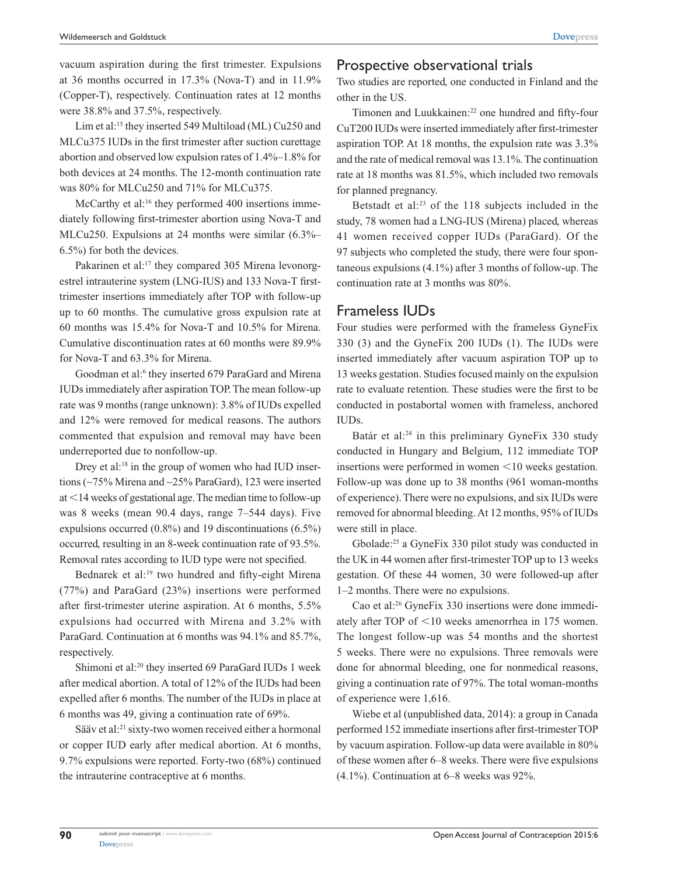vacuum aspiration during the first trimester. Expulsions at 36 months occurred in 17.3% (Nova-T) and in 11.9% (Copper-T), respectively. Continuation rates at 12 months were 38.8% and 37.5%, respectively.

Lim et al:<sup>15</sup> they inserted 549 Multiload (ML) Cu250 and MLCu375 IUDs in the first trimester after suction curettage abortion and observed low expulsion rates of 1.4%–1.8% for both devices at 24 months. The 12-month continuation rate was 80% for MLCu250 and 71% for MLCu375.

McCarthy et al:<sup>16</sup> they performed 400 insertions immediately following first-trimester abortion using Nova-T and MLCu250. Expulsions at 24 months were similar (6.3%– 6.5%) for both the devices.

Pakarinen et al:<sup>17</sup> they compared 305 Mirena levonorgestrel intrauterine system (LNG-IUS) and 133 Nova-T firsttrimester insertions immediately after TOP with follow-up up to 60 months. The cumulative gross expulsion rate at 60 months was 15.4% for Nova-T and 10.5% for Mirena. Cumulative discontinuation rates at 60 months were 89.9% for Nova-T and 63.3% for Mirena.

Goodman et al:<sup>6</sup> they inserted 679 ParaGard and Mirena IUDs immediately after aspiration TOP. The mean follow-up rate was 9 months (range unknown): 3.8% of IUDs expelled and 12% were removed for medical reasons. The authors commented that expulsion and removal may have been underreported due to nonfollow-up.

Drey et al:<sup>18</sup> in the group of women who had IUD insertions (∼75% Mirena and ∼25% ParaGard), 123 were inserted at  $<$  14 weeks of gestational age. The median time to follow-up was 8 weeks (mean 90.4 days, range 7–544 days). Five expulsions occurred (0.8%) and 19 discontinuations (6.5%) occurred, resulting in an 8-week continuation rate of 93.5%. Removal rates according to IUD type were not specified.

Bednarek et al:<sup>19</sup> two hundred and fifty-eight Mirena (77%) and ParaGard (23%) insertions were performed after first-trimester uterine aspiration. At 6 months, 5.5% expulsions had occurred with Mirena and 3.2% with ParaGard. Continuation at 6 months was 94.1% and 85.7%, respectively.

Shimoni et al:20 they inserted 69 ParaGard IUDs 1 week after medical abortion. A total of 12% of the IUDs had been expelled after 6 months. The number of the IUDs in place at 6 months was 49, giving a continuation rate of 69%.

Sääv et al:21 sixty-two women received either a hormonal or copper IUD early after medical abortion. At 6 months, 9.7% expulsions were reported. Forty-two (68%) continued the intrauterine contraceptive at 6 months.

## Prospective observational trials

Two studies are reported, one conducted in Finland and the other in the US.

Timonen and Luukkainen:<sup>22</sup> one hundred and fifty-four CuT200 IUDs were inserted immediately after first-trimester aspiration TOP. At 18 months, the expulsion rate was 3.3% and the rate of medical removal was 13.1%. The continuation rate at 18 months was 81.5%, which included two removals for planned pregnancy.

Betstadt et al:23 of the 118 subjects included in the study, 78 women had a LNG-IUS (Mirena) placed, whereas 41 women received copper IUDs (ParaGard). Of the 97 subjects who completed the study, there were four spontaneous expulsions (4.1%) after 3 months of follow-up. The continuation rate at 3 months was 80%.

### Frameless IUDs

Four studies were performed with the frameless GyneFix 330 (3) and the GyneFix 200 IUDs (1). The IUDs were inserted immediately after vacuum aspiration TOP up to 13 weeks gestation. Studies focused mainly on the expulsion rate to evaluate retention. These studies were the first to be conducted in postabortal women with frameless, anchored IUDs.

Batár et al:<sup>24</sup> in this preliminary GyneFix 330 study conducted in Hungary and Belgium, 112 immediate TOP insertions were performed in women  $\leq 10$  weeks gestation. Follow-up was done up to 38 months (961 woman-months of experience). There were no expulsions, and six IUDs were removed for abnormal bleeding. At 12 months, 95% of IUDs were still in place.

Gbolade:25 a GyneFix 330 pilot study was conducted in the UK in 44 women after first-trimester TOP up to 13 weeks gestation. Of these 44 women, 30 were followed-up after 1–2 months. There were no expulsions.

Cao et al:26 GyneFix 330 insertions were done immediately after TOP of  $\leq 10$  weeks amenorrhea in 175 women. The longest follow-up was 54 months and the shortest 5 weeks. There were no expulsions. Three removals were done for abnormal bleeding, one for nonmedical reasons, giving a continuation rate of 97%. The total woman-months of experience were 1,616.

Wiebe et al (unpublished data, 2014): a group in Canada performed 152 immediate insertions after first-trimester TOP by vacuum aspiration. Follow-up data were available in 80% of these women after 6–8 weeks. There were five expulsions  $(4.1\%)$ . Continuation at  $6-8$  weeks was 92%.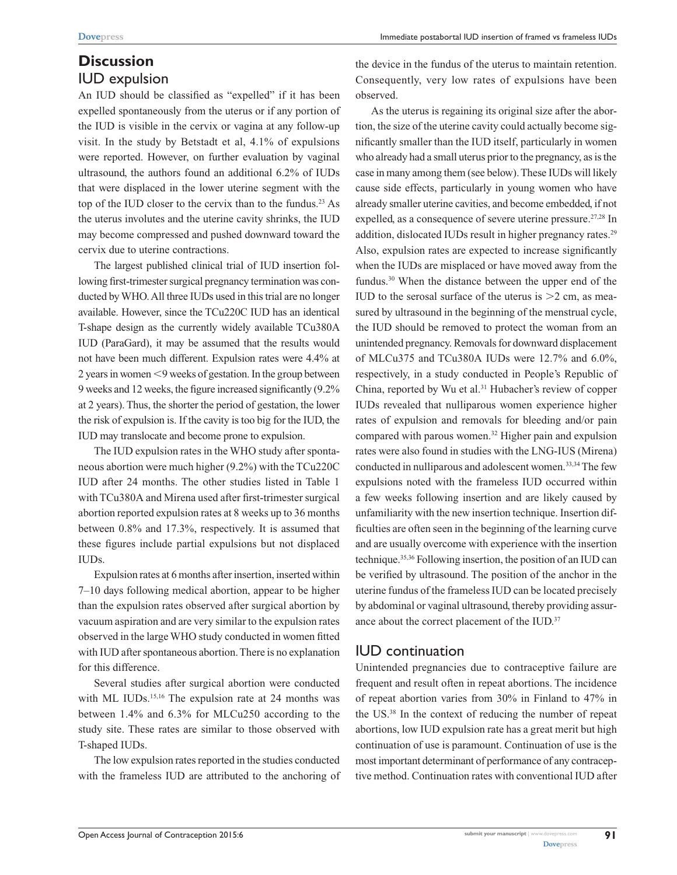# **Discussion** IUD expulsion

An IUD should be classified as "expelled" if it has been expelled spontaneously from the uterus or if any portion of the IUD is visible in the cervix or vagina at any follow-up visit. In the study by Betstadt et al, 4.1% of expulsions were reported. However, on further evaluation by vaginal ultrasound, the authors found an additional 6.2% of IUDs that were displaced in the lower uterine segment with the top of the IUD closer to the cervix than to the fundus.23 As the uterus involutes and the uterine cavity shrinks, the IUD may become compressed and pushed downward toward the cervix due to uterine contractions.

The largest published clinical trial of IUD insertion following first-trimester surgical pregnancy termination was conducted by WHO. All three IUDs used in this trial are no longer available. However, since the TCu220C IUD has an identical T-shape design as the currently widely available TCu380A IUD (ParaGard), it may be assumed that the results would not have been much different. Expulsion rates were 4.4% at 2 years in women  $\leq$ 9 weeks of gestation. In the group between 9 weeks and 12 weeks, the figure increased significantly (9.2% at 2 years). Thus, the shorter the period of gestation, the lower the risk of expulsion is. If the cavity is too big for the IUD, the IUD may translocate and become prone to expulsion.

The IUD expulsion rates in the WHO study after spontaneous abortion were much higher (9.2%) with the TCu220C IUD after 24 months. The other studies listed in Table 1 with TCu380A and Mirena used after first-trimester surgical abortion reported expulsion rates at 8 weeks up to 36 months between 0.8% and 17.3%, respectively. It is assumed that these figures include partial expulsions but not displaced IUDs.

Expulsion rates at 6 months after insertion, inserted within 7–10 days following medical abortion, appear to be higher than the expulsion rates observed after surgical abortion by vacuum aspiration and are very similar to the expulsion rates observed in the large WHO study conducted in women fitted with IUD after spontaneous abortion. There is no explanation for this difference.

Several studies after surgical abortion were conducted with ML IUDs.<sup>15,16</sup> The expulsion rate at 24 months was between 1.4% and 6.3% for MLCu250 according to the study site. These rates are similar to those observed with T-shaped IUDs.

The low expulsion rates reported in the studies conducted with the frameless IUD are attributed to the anchoring of the device in the fundus of the uterus to maintain retention. Consequently, very low rates of expulsions have been observed.

As the uterus is regaining its original size after the abortion, the size of the uterine cavity could actually become significantly smaller than the IUD itself, particularly in women who already had a small uterus prior to the pregnancy, as is the case in many among them (see below). These IUDs will likely cause side effects, particularly in young women who have already smaller uterine cavities, and become embedded, if not expelled, as a consequence of severe uterine pressure.<sup>27,28</sup> In addition, dislocated IUDs result in higher pregnancy rates.<sup>29</sup> Also, expulsion rates are expected to increase significantly when the IUDs are misplaced or have moved away from the fundus.30 When the distance between the upper end of the IUD to the serosal surface of the uterus is  $>2$  cm, as measured by ultrasound in the beginning of the menstrual cycle, the IUD should be removed to protect the woman from an unintended pregnancy. Removals for downward displacement of MLCu375 and TCu380A IUDs were 12.7% and 6.0%, respectively, in a study conducted in People's Republic of China, reported by Wu et al.<sup>31</sup> Hubacher's review of copper IUDs revealed that nulliparous women experience higher rates of expulsion and removals for bleeding and/or pain compared with parous women.32 Higher pain and expulsion rates were also found in studies with the LNG-IUS (Mirena) conducted in nulliparous and adolescent women.<sup>33,34</sup> The few expulsions noted with the frameless IUD occurred within a few weeks following insertion and are likely caused by unfamiliarity with the new insertion technique. Insertion difficulties are often seen in the beginning of the learning curve and are usually overcome with experience with the insertion technique.35,36 Following insertion, the position of an IUD can be verified by ultrasound. The position of the anchor in the uterine fundus of the frameless IUD can be located precisely by abdominal or vaginal ultrasound, thereby providing assurance about the correct placement of the IUD.<sup>37</sup>

# IUD continuation

Unintended pregnancies due to contraceptive failure are frequent and result often in repeat abortions. The incidence of repeat abortion varies from 30% in Finland to 47% in the US.38 In the context of reducing the number of repeat abortions, low IUD expulsion rate has a great merit but high continuation of use is paramount. Continuation of use is the most important determinant of performance of any contraceptive method. Continuation rates with conventional IUD after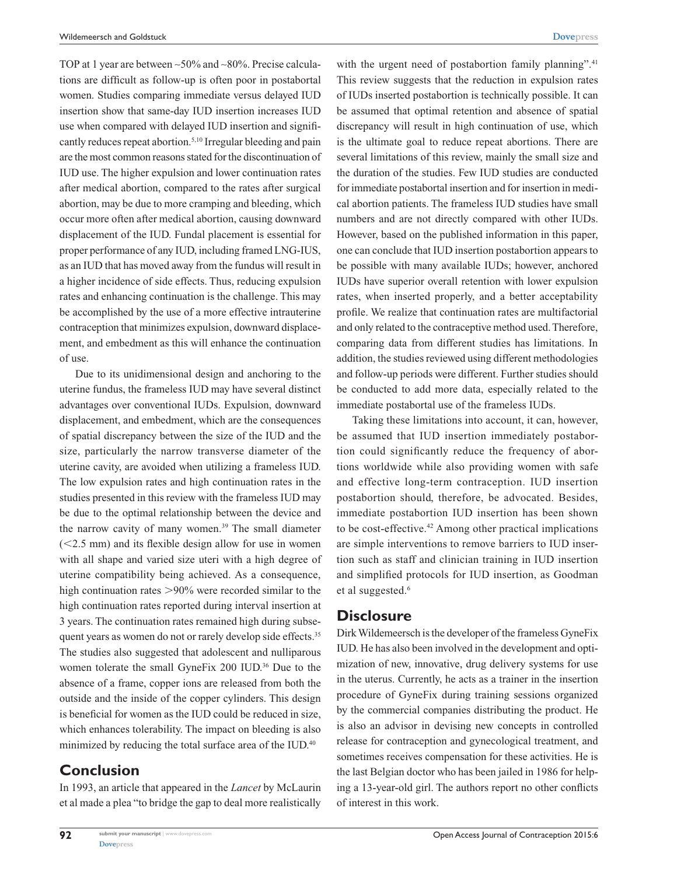TOP at 1 year are between ∼50% and ∼80%. Precise calculations are difficult as follow-up is often poor in postabortal women. Studies comparing immediate versus delayed IUD insertion show that same-day IUD insertion increases IUD use when compared with delayed IUD insertion and significantly reduces repeat abortion.5,10 Irregular bleeding and pain are the most common reasons stated for the discontinuation of IUD use. The higher expulsion and lower continuation rates after medical abortion, compared to the rates after surgical abortion, may be due to more cramping and bleeding, which occur more often after medical abortion, causing downward displacement of the IUD. Fundal placement is essential for proper performance of any IUD, including framed LNG-IUS, as an IUD that has moved away from the fundus will result in a higher incidence of side effects. Thus, reducing expulsion rates and enhancing continuation is the challenge. This may be accomplished by the use of a more effective intrauterine contraception that minimizes expulsion, downward displacement, and embedment as this will enhance the continuation of use.

Due to its unidimensional design and anchoring to the uterine fundus, the frameless IUD may have several distinct advantages over conventional IUDs. Expulsion, downward displacement, and embedment, which are the consequences of spatial discrepancy between the size of the IUD and the size, particularly the narrow transverse diameter of the uterine cavity, are avoided when utilizing a frameless IUD. The low expulsion rates and high continuation rates in the studies presented in this review with the frameless IUD may be due to the optimal relationship between the device and the narrow cavity of many women.<sup>39</sup> The small diameter  $(<2.5$  mm) and its flexible design allow for use in women with all shape and varied size uteri with a high degree of uterine compatibility being achieved. As a consequence, high continuation rates  $>90\%$  were recorded similar to the high continuation rates reported during interval insertion at 3 years. The continuation rates remained high during subsequent years as women do not or rarely develop side effects.<sup>35</sup> The studies also suggested that adolescent and nulliparous women tolerate the small GyneFix 200 IUD.<sup>36</sup> Due to the absence of a frame, copper ions are released from both the outside and the inside of the copper cylinders. This design is beneficial for women as the IUD could be reduced in size, which enhances tolerability. The impact on bleeding is also minimized by reducing the total surface area of the IUD.<sup>40</sup>

## **Conclusion**

**92**

In 1993, an article that appeared in the *Lancet* by McLaurin et al made a plea "to bridge the gap to deal more realistically

with the urgent need of postabortion family planning".<sup>41</sup> This review suggests that the reduction in expulsion rates of IUDs inserted postabortion is technically possible. It can be assumed that optimal retention and absence of spatial discrepancy will result in high continuation of use, which is the ultimate goal to reduce repeat abortions. There are several limitations of this review, mainly the small size and the duration of the studies. Few IUD studies are conducted for immediate postabortal insertion and for insertion in medical abortion patients. The frameless IUD studies have small numbers and are not directly compared with other IUDs. However, based on the published information in this paper, one can conclude that IUD insertion postabortion appears to be possible with many available IUDs; however, anchored IUDs have superior overall retention with lower expulsion rates, when inserted properly, and a better acceptability profile. We realize that continuation rates are multifactorial and only related to the contraceptive method used. Therefore, comparing data from different studies has limitations. In addition, the studies reviewed using different methodologies and follow-up periods were different. Further studies should be conducted to add more data, especially related to the immediate postabortal use of the frameless IUDs.

Taking these limitations into account, it can, however, be assumed that IUD insertion immediately postabortion could significantly reduce the frequency of abortions worldwide while also providing women with safe and effective long-term contraception. IUD insertion postabortion should, therefore, be advocated. Besides, immediate postabortion IUD insertion has been shown to be cost-effective.<sup>42</sup> Among other practical implications are simple interventions to remove barriers to IUD insertion such as staff and clinician training in IUD insertion and simplified protocols for IUD insertion, as Goodman et al suggested.<sup>6</sup>

## **Disclosure**

Dirk Wildemeersch is the developer of the frameless GyneFix IUD. He has also been involved in the development and optimization of new, innovative, drug delivery systems for use in the uterus. Currently, he acts as a trainer in the insertion procedure of GyneFix during training sessions organized by the commercial companies distributing the product. He is also an advisor in devising new concepts in controlled release for contraception and gynecological treatment, and sometimes receives compensation for these activities. He is the last Belgian doctor who has been jailed in 1986 for helping a 13-year-old girl. The authors report no other conflicts of interest in this work.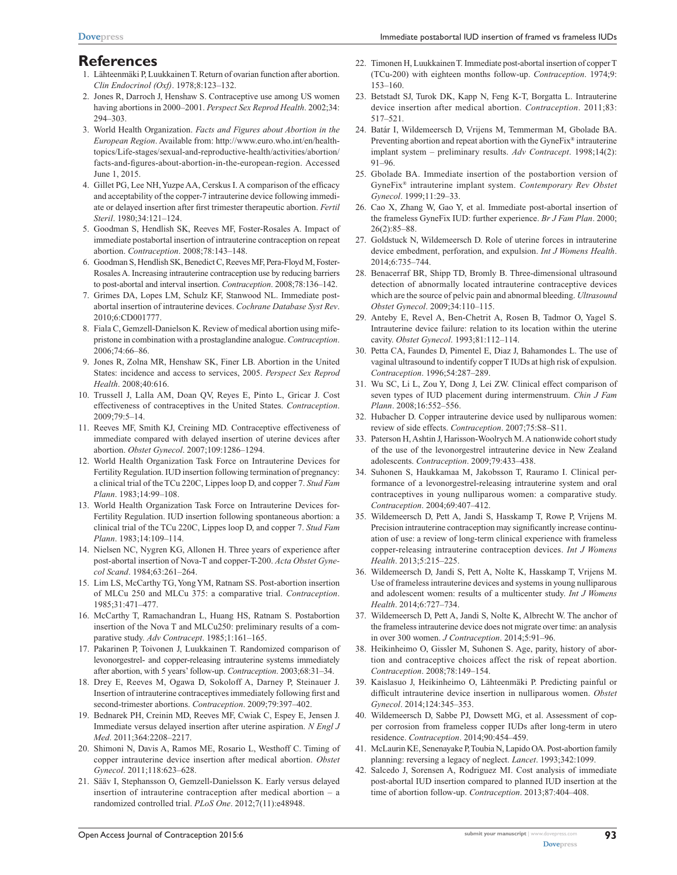## **References**

- 1. Lähteenmäki P, Luukkainen T. Return of ovarian function after abortion. *Clin Endocrinol (Oxf)*. 1978;8:123–132.
- 2. Jones R, Darroch J, Henshaw S. Contraceptive use among US women having abortions in 2000–2001. *Perspect Sex Reprod Health*. 2002;34: 294–303.
- 3. World Health Organization. *Facts and Figures about Abortion in the European Region*. Available from: [http://www.euro.who.int/en/health](http://www.euro.who.int/en/health-topics/Life-stages/sexual-and-reproductive-health/activities/abortion/facts-and-figures-about-abortion-in-the-european-region)[topics/Life-stages/sexual-and-reproductive-health/activities/abortion/](http://www.euro.who.int/en/health-topics/Life-stages/sexual-and-reproductive-health/activities/abortion/facts-and-figures-about-abortion-in-the-european-region) [facts-and-figures-about-abortion-in-the-european-region.](http://www.euro.who.int/en/health-topics/Life-stages/sexual-and-reproductive-health/activities/abortion/facts-and-figures-about-abortion-in-the-european-region) Accessed June 1, 2015.
- 4. Gillet PG, Lee NH, Yuzpe AA, Cerskus I. A comparison of the efficacy and acceptability of the copper-7 intrauterine device following immediate or delayed insertion after first trimester therapeutic abortion. *Fertil Steril*. 1980;34:121–124.
- 5. Goodman S, Hendlish SK, Reeves MF, Foster-Rosales A. Impact of immediate postabortal insertion of intrauterine contraception on repeat abortion. *Contraception*. 2008;78:143–148.
- 6. Goodman S, Hendlish SK, Benedict C, Reeves MF, Pera-Floyd M, Foster-Rosales A. Increasing intrauterine contraception use by reducing barriers to post-abortal and interval insertion. *Contraception*. 2008;78:136–142.
- 7. Grimes DA, Lopes LM, Schulz KF, Stanwood NL. Immediate postabortal insertion of intrauterine devices. *Cochrane Database Syst Rev*. 2010;6:CD001777.
- 8. Fiala C, Gemzell-Danielson K. Review of medical abortion using mifepristone in combination with a prostaglandine analogue. *Contraception*. 2006;74:66–86.
- 9. Jones R, Zolna MR, Henshaw SK, Finer LB. Abortion in the United States: incidence and access to services, 2005. *Perspect Sex Reprod Health*. 2008;40:616.
- 10. Trussell J, Lalla AM, Doan QV, Reyes E, Pinto L, Gricar J. Cost effectiveness of contraceptives in the United States. *Contraception*. 2009;79:5–14.
- 11. Reeves MF, Smith KJ, Creining MD. Contraceptive effectiveness of immediate compared with delayed insertion of uterine devices after abortion. *Obstet Gynecol*. 2007;109:1286–1294.
- 12. World Health Organization Task Force on Intrauterine Devices for Fertility Regulation. IUD insertion following termination of pregnancy: a clinical trial of the TCu 220C, Lippes loop D, and copper 7. *Stud Fam Plann*. 1983;14:99–108.
- 13. World Health Organization Task Force on Intrauterine Devices for-Fertility Regulation. IUD insertion following spontaneous abortion: a clinical trial of the TCu 220C, Lippes loop D, and copper 7. *Stud Fam Plann*. 1983;14:109–114.
- 14. Nielsen NC, Nygren KG, Allonen H. Three years of experience after post-abortal insertion of Nova-T and copper-T-200. *Acta Obstet Gynecol Scand*. 1984;63:261–264.
- 15. Lim LS, McCarthy TG, Yong YM, Ratnam SS. Post-abortion insertion of MLCu 250 and MLCu 375: a comparative trial. *Contraception*. 1985;31:471–477.
- 16. McCarthy T, Ramachandran L, Huang HS, Ratnam S. Postabortion insertion of the Nova T and MLCu250: preliminary results of a comparative study. *Adv Contracept*. 1985;1:161–165.
- 17. Pakarinen P, Toivonen J, Luukkainen T. Randomized comparison of levonorgestrel- and copper-releasing intrauterine systems immediately after abortion, with 5 years' follow-up. *Contraception*. 2003;68:31–34.
- 18. Drey E, Reeves M, Ogawa D, Sokoloff A, Darney P, Steinauer J. Insertion of intrauterine contraceptives immediately following first and second-trimester abortions. *Contraception*. 2009;79:397–402.
- 19. Bednarek PH, Creinin MD, Reeves MF, Cwiak C, Espey E, Jensen J. Immediate versus delayed insertion after uterine aspiration. *N Engl J Med*. 2011;364:2208–2217.
- 20. Shimoni N, Davis A, Ramos ME, Rosario L, Westhoff C. Timing of copper intrauterine device insertion after medical abortion. *Obstet Gynecol*. 2011;118:623–628.
- 21. Sääv I, Stephansson O, Gemzell-Danielsson K. Early versus delayed insertion of intrauterine contraception after medical abortion – a randomized controlled trial. *PLoS One*. 2012;7(11):e48948.
- 22. Timonen H, Luukkainen T. Immediate post-abortal insertion of copper T (TCu-200) with eighteen months follow-up. *Contraception*. 1974;9: 153–160.
- 23. Betstadt SJ, Turok DK, Kapp N, Feng K-T, Borgatta L. Intrauterine device insertion after medical abortion. *Contraception*. 2011;83: 517–521.
- 24. Batár I, Wildemeersch D, Vrijens M, Temmerman M, Gbolade BA. Preventing abortion and repeat abortion with the GyneFix® intrauterine implant system – preliminary results. *Adv Contracept*. 1998;14(2): 91–96.
- 25. Gbolade BA. Immediate insertion of the postabortion version of GyneFix® intrauterine implant system. *Contemporary Rev Obstet Gynecol*. 1999;11:29–33.
- 26. Cao X, Zhang W, Gao Y, et al. Immediate post-abortal insertion of the frameless GyneFix IUD: further experience. *Br J Fam Plan*. 2000; 26(2):85–88.
- 27. Goldstuck N, Wildemeersch D. Role of uterine forces in intrauterine device embedment, perforation, and expulsion. *Int J Womens Health*. 2014;6:735–744.
- 28. Benacerraf BR, Shipp TD, Bromly B. Three-dimensional ultrasound detection of abnormally located intrauterine contraceptive devices which are the source of pelvic pain and abnormal bleeding. *Ultrasound Obstet Gynecol*. 2009;34:110–115.
- 29. Anteby E, Revel A, Ben-Chetrit A, Rosen B, Tadmor O, Yagel S. Intrauterine device failure: relation to its location within the uterine cavity. *Obstet Gynecol*. 1993;81:112–114.
- 30. Petta CA, Faundes D, Pimentel E, Diaz J, Bahamondes L. The use of vaginal ultrasound to indentify copper T IUDs at high risk of expulsion. *Contraception*. 1996;54:287–289.
- 31. Wu SC, Li L, Zou Y, Dong J, Lei ZW. Clinical effect comparison of seven types of IUD placement during intermenstruum. *Chin J Fam Plann*. 2008;16:552–556.
- 32. Hubacher D. Copper intrauterine device used by nulliparous women: review of side effects. *Contraception*. 2007;75:S8–S11.
- 33. Paterson H, Ashtin J, Harisson-Woolrych M. A nationwide cohort study of the use of the levonorgestrel intrauterine device in New Zealand adolescents. *Contraception*. 2009;79:433–438.
- 34. Suhonen S, Haukkamaa M, Jakobsson T, Rauramo I. Clinical performance of a levonorgestrel-releasing intrauterine system and oral contraceptives in young nulliparous women: a comparative study. *Contraception*. 2004;69:407–412.
- 35. Wildemeersch D, Pett A, Jandi S, Hasskamp T, Rowe P, Vrijens M. Precision intrauterine contraception may significantly increase continuation of use: a review of long-term clinical experience with frameless copper-releasing intrauterine contraception devices. *Int J Womens Health*. 2013;5:215–225.
- 36. Wildemeersch D, Jandi S, Pett A, Nolte K, Hasskamp T, Vrijens M. Use of frameless intrauterine devices and systems in young nulliparous and adolescent women: results of a multicenter study. *Int J Womens Health*. 2014;6:727–734.
- 37. Wildemeersch D, Pett A, Jandi S, Nolte K, Albrecht W. The anchor of the frameless intrauterine device does not migrate over time: an analysis in over 300 women. *J Contraception*. 2014;5:91–96.
- 38. Heikinheimo O, Gissler M, Suhonen S. Age, parity, history of abortion and contraceptive choices affect the risk of repeat abortion. *Contraception*. 2008;78:149–154.
- 39. Kaislasuo J, Heikinheimo O, Lähteenmäki P. Predicting painful or difficult intrauterine device insertion in nulliparous women. *Obstet Gynecol*. 2014;124:345–353.
- 40. Wildemeersch D, Sabbe PJ, Dowsett MG, et al. Assessment of copper corrosion from frameless copper IUDs after long-term in utero residence. *Contraception*. 2014;90:454–459.
- 41. McLaurin KE, Senenayake P, Toubia N, Lapido OA. Post-abortion family planning: reversing a legacy of neglect. *Lancet*. 1993;342:1099.
- 42. Salcedo J, Sorensen A, Rodriguez MI. Cost analysis of immediate post-abortal IUD insertion compared to planned IUD insertion at the time of abortion follow-up. *Contraception*. 2013;87:404–408.